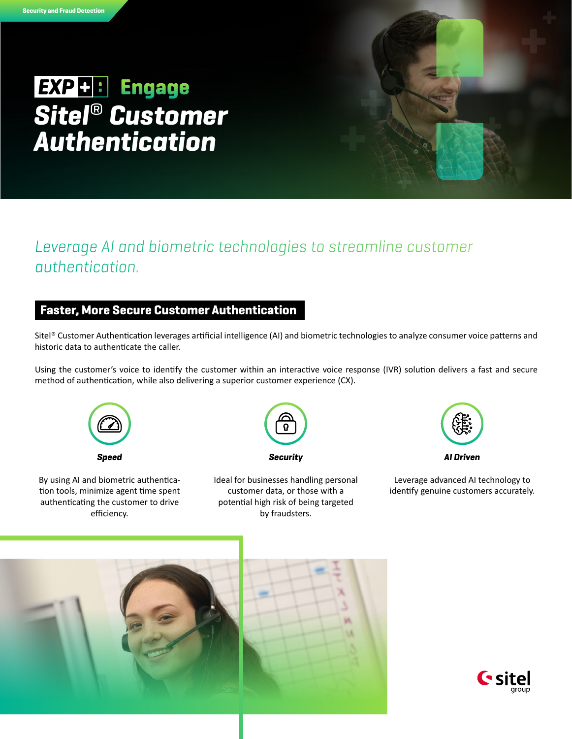#### Security and Fraud Detection

# *Sitel*® *Customer Authentication*

## *Leverage AI and biometric technologies to streamline customer authentication.*

## Faster, More Secure Customer Authentication

Sitel® Customer Authentication leverages artificial intelligence (AI) and biometric technologies to analyze consumer voice patterns and historic data to authenticate the caller.

Using the customer's voice to identify the customer within an interactive voice response (IVR) solution delivers a fast and secure method of authentication, while also delivering a superior customer experience (CX).



By using AI and biometric authentication tools, minimize agent time spent authenticating the customer to drive efficiency.



Ideal for businesses handling personal customer data, or those with a potential high risk of being targeted by fraudsters.



Leverage advanced AI technology to identify genuine customers accurately.